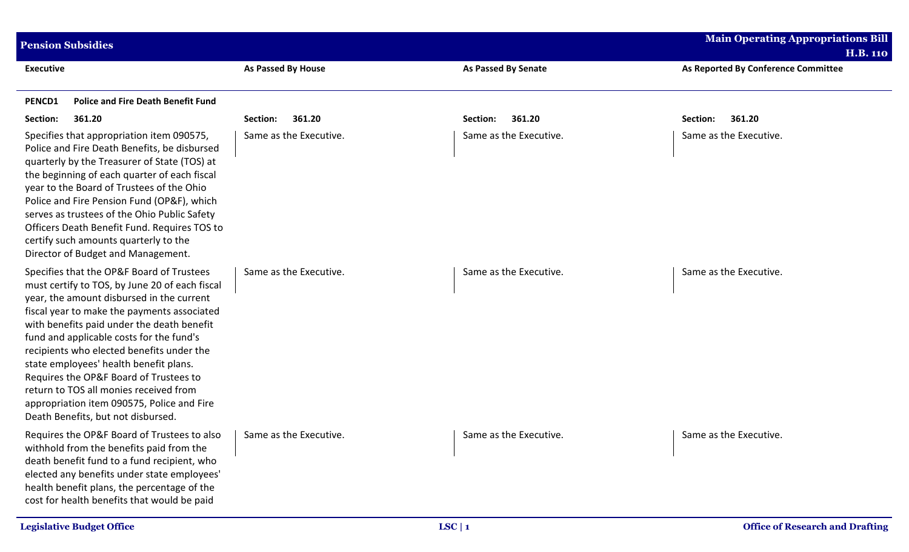| <b>Pension Subsidies</b>                                                                                                                                                                                                                                                                                                                                                                                                                                                                                                                         |                           |                        | <b>Main Operating Appropriations Bill</b><br><b>H.B. 110</b> |
|--------------------------------------------------------------------------------------------------------------------------------------------------------------------------------------------------------------------------------------------------------------------------------------------------------------------------------------------------------------------------------------------------------------------------------------------------------------------------------------------------------------------------------------------------|---------------------------|------------------------|--------------------------------------------------------------|
| <b>Executive</b>                                                                                                                                                                                                                                                                                                                                                                                                                                                                                                                                 | <b>As Passed By House</b> | As Passed By Senate    | As Reported By Conference Committee                          |
| <b>Police and Fire Death Benefit Fund</b><br>PENCD1                                                                                                                                                                                                                                                                                                                                                                                                                                                                                              |                           |                        |                                                              |
| Section:<br>361.20                                                                                                                                                                                                                                                                                                                                                                                                                                                                                                                               | 361.20<br>Section:        | 361.20<br>Section:     | Section:<br>361.20                                           |
| Specifies that appropriation item 090575,<br>Police and Fire Death Benefits, be disbursed<br>quarterly by the Treasurer of State (TOS) at<br>the beginning of each quarter of each fiscal<br>year to the Board of Trustees of the Ohio<br>Police and Fire Pension Fund (OP&F), which<br>serves as trustees of the Ohio Public Safety<br>Officers Death Benefit Fund. Requires TOS to<br>certify such amounts quarterly to the<br>Director of Budget and Management.                                                                              | Same as the Executive.    | Same as the Executive. | Same as the Executive.                                       |
| Specifies that the OP&F Board of Trustees<br>must certify to TOS, by June 20 of each fiscal<br>year, the amount disbursed in the current<br>fiscal year to make the payments associated<br>with benefits paid under the death benefit<br>fund and applicable costs for the fund's<br>recipients who elected benefits under the<br>state employees' health benefit plans.<br>Requires the OP&F Board of Trustees to<br>return to TOS all monies received from<br>appropriation item 090575, Police and Fire<br>Death Benefits, but not disbursed. | Same as the Executive.    | Same as the Executive. | Same as the Executive.                                       |
| Requires the OP&F Board of Trustees to also   Same as the Executive.<br>withhold from the benefits paid from the<br>death benefit fund to a fund recipient, who<br>elected any benefits under state employees'<br>health benefit plans, the percentage of the<br>cost for health benefits that would be paid                                                                                                                                                                                                                                     |                           | Same as the Executive. | Same as the Executive.                                       |
| <b>Legislative Budget Office</b>                                                                                                                                                                                                                                                                                                                                                                                                                                                                                                                 |                           | LSC   1                | <b>Office of Research and Drafting</b>                       |